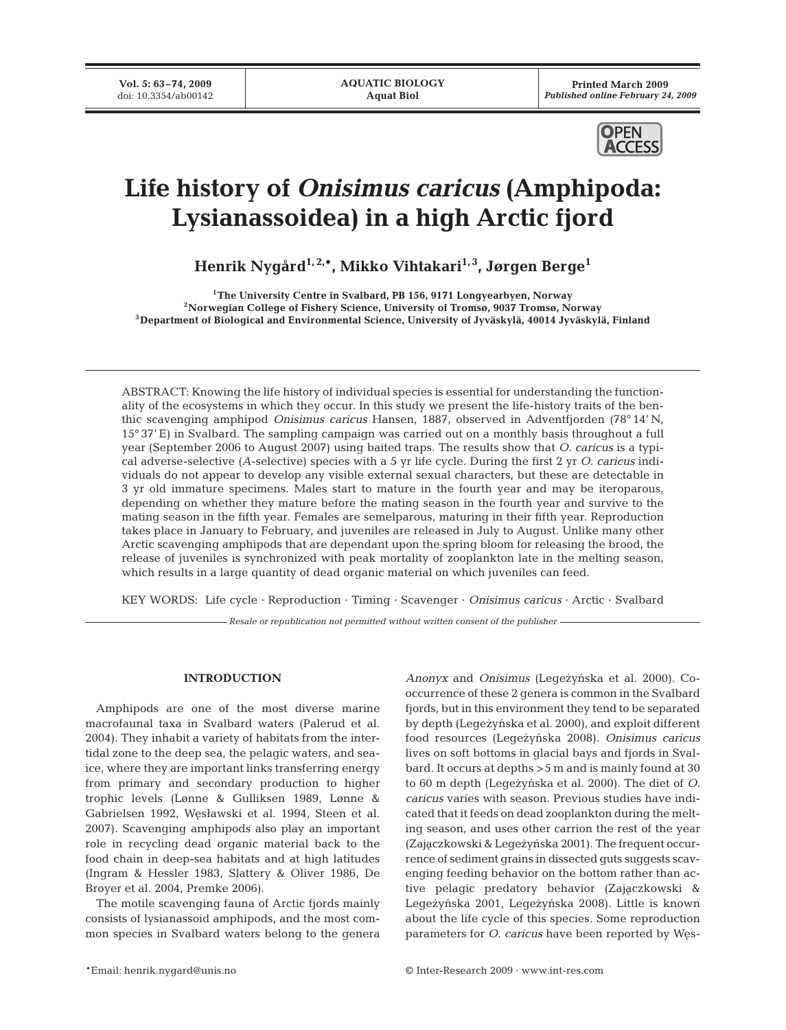**Vol. 5: 63–74, 2009** doi: 10.3354/ab00142

**Printed March 2009** *Published online February 24, 2009*



# **Life history of** *Onisimus caricus* **(Amphipoda: Lysianassoidea) in a high Arctic fjord**

**Henrik Nygård1, 2,\*, Mikko Vihtakari1, 3, Jørgen Berge1**

**1The University Centre in Svalbard, PB 156, 9171 Longyearbyen, Norway 2Norwegian College of Fishery Science, University of Tromsø, 9037 Tromsø, Norway 3Department of Biological and Environmental Science, University of Jyväskylä, 40014 Jyväskylä, Finland**

ABSTRACT: Knowing the life history of individual species is essential for understanding the functionality of the ecosystems in which they occur. In this study we present the life-history traits of the benthic scavenging amphipod *Onisimus caricus* Hansen, 1887, observed in Adventfjorden (78° 14' N, 15° 37' E) in Svalbard. The sampling campaign was carried out on a monthly basis throughout a full year (September 2006 to August 2007) using baited traps. The results show that *O. caricus* is a typical adverse-selective (*A*-selective) species with a 5 yr life cycle. During the first 2 yr *O. caricus* individuals do not appear to develop any visible external sexual characters, but these are detectable in 3 yr old immature specimens. Males start to mature in the fourth year and may be iteroparous, depending on whether they mature before the mating season in the fourth year and survive to the mating season in the fifth year. Females are semelparous, maturing in their fifth year. Reproduction takes place in January to February, and juveniles are released in July to August. Unlike many other Arctic scavenging amphipods that are dependant upon the spring bloom for releasing the brood, the release of juveniles is synchronized with peak mortality of zooplankton late in the melting season, which results in a large quantity of dead organic material on which juveniles can feed.

KEY WORDS: Life cycle · Reproduction · Timing · Scavenger · *Onisimus caricus* · Arctic · Svalbard

*Resale or republication not permitted without written consent of the publisher*

# **INTRODUCTION**

Amphipods are one of the most diverse marine macrofaunal taxa in Svalbard waters (Palerud et al. 2004). They inhabit a variety of habitats from the intertidal zone to the deep sea, the pelagic waters, and seaice, where they are important links transferring energy from primary and secondary production to higher trophic levels (Lønne & Gulliksen 1989, Lønne & Gabrielsen 1992, Węsławski et al. 1994, Steen et al. 2007). Scavenging amphipods also play an important role in recycling dead organic material back to the food chain in deep-sea habitats and at high latitudes (Ingram & Hessler 1983, Slattery & Oliver 1986, De Broyer et al. 2004, Premke 2006).

The motile scavenging fauna of Arctic fjords mainly consists of lysianassoid amphipods, and the most common species in Svalbard waters belong to the genera *Anonyx* and *Onisimus* (Legezyńska et al. 2000). Cooccurrence of these 2 genera is common in the Svalbard fjords, but in this environment they tend to be separated by depth (Legezynska et al. 2000), and exploit different food resources (Legeżyńska 2008). *Onisimus caricus* lives on soft bottoms in glacial bays and fjords in Svalbard. It occurs at depths >5 m and is mainly found at 30 to 60 m depth (Lege*zy*nska et al. 2000). The diet of *O*. *caricus* varies with season. Previous studies have indicated that it feeds on dead zooplankton during the melting season, and uses other carrion the rest of the year (Zajączkowski & Legeżyńska 2001). The frequent occurrence of sediment grains in dissected guts suggests scavenging feeding behavior on the bottom rather than active pelagic predatory behavior (Zajączkowski & Legeżyńska 2001, Legeżyńska 2008). Little is known about the life cycle of this species. Some reproduction parameters for *O. caricus* have been reported by Wes-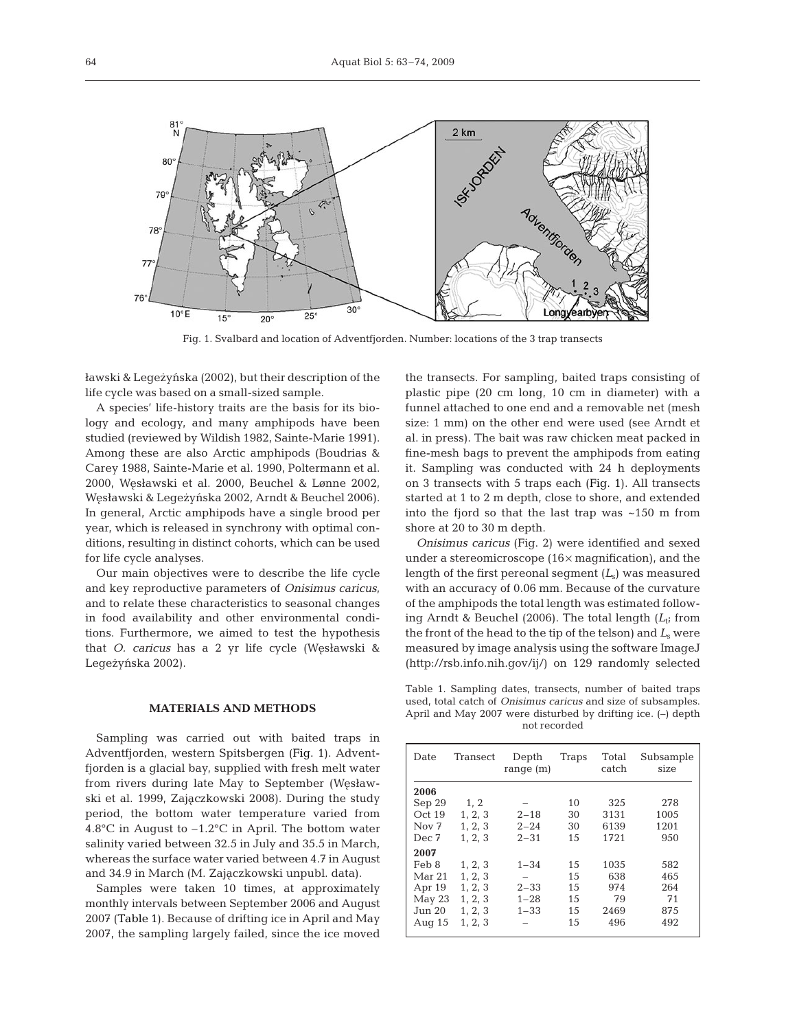

Fig. 1. Svalbard and location of Adventfjorden. Number: locations of the 3 trap transects

ławski & Legeżyńska (2002), but their description of the life cycle was based on a small-sized sample.

A species' life-history traits are the basis for its biology and ecology, and many amphipods have been studied (reviewed by Wildish 1982, Sainte-Marie 1991). Among these are also Arctic amphipods (Boudrias & Carey 1988, Sainte-Marie et al. 1990, Poltermann et al. 2000, Węsławski et al. 2000, Beuchel & Lønne 2002, Węsławski & Legeżyńska 2002, Arndt & Beuchel 2006). In general, Arctic amphipods have a single brood per year, which is released in synchrony with optimal conditions, resulting in distinct cohorts, which can be used for life cycle analyses.

Our main objectives were to describe the life cycle and key reproductive parameters of *Onisimus caricus*, and to relate these characteristics to seasonal changes in food availability and other environmental conditions. Furthermore, we aimed to test the hypothesis that *O. caricus* has a 2 yr life cycle (Węsławski & Legeżyńska 2002).

## **MATERIALS AND METHODS**

Sampling was carried out with baited traps in Adventfjorden, western Spitsbergen (Fig. 1). Adventfjorden is a glacial bay, supplied with fresh melt water from rivers during late May to September (Wesławski et al. 1999, Zajączkowski 2008). During the study period, the bottom water temperature varied from 4.8°C in August to –1.2°C in April. The bottom water salinity varied between 32.5 in July and 35.5 in March, whereas the surface water varied between 4.7 in August and 34.9 in March (M. Zajączkowski unpubl. data).

Samples were taken 10 times, at approximately monthly intervals between September 2006 and August 2007 (Table 1). Because of drifting ice in April and May 2007, the sampling largely failed, since the ice moved the transects. For sampling, baited traps consisting of plastic pipe (20 cm long, 10 cm in diameter) with a funnel attached to one end and a removable net (mesh size: 1 mm) on the other end were used (see Arndt et al. in press). The bait was raw chicken meat packed in fine-mesh bags to prevent the amphipods from eating it. Sampling was conducted with 24 h deployments on 3 transects with 5 traps each (Fig. 1). All transects started at 1 to 2 m depth, close to shore, and extended into the fjord so that the last trap was ~150 m from shore at 20 to 30 m depth.

*Onisimus caricus* (Fig. 2) were identified and sexed under a stereomicroscope (16× magnification), and the length of the first pereonal segment (*L*s) was measured with an accuracy of 0.06 mm. Because of the curvature of the amphipods the total length was estimated following Arndt & Beuchel (2006). The total length  $(L_t)$  from the front of the head to the tip of the telson) and  $L<sub>s</sub>$  were measured by image analysis using the software ImageJ (http://rsb.info.nih.gov/ij/) on 129 randomly selected

Table 1. Sampling dates, transects, number of baited traps used, total catch of *Onisimus caricus* and size of subsamples. April and May 2007 were disturbed by drifting ice. (–) depth not recorded

| Date             | Transect | Depth<br>range $(m)$ | Traps | Total<br>catch | Subsample<br>size |
|------------------|----------|----------------------|-------|----------------|-------------------|
| 2006             |          |                      |       |                |                   |
| Sep 29           | 1, 2     |                      | 10    | 325            | 278               |
| Oct 19           | 1, 2, 3  | $2 - 18$             | 30    | 3131           | 1005              |
| Nov <sub>7</sub> | 1, 2, 3  | $2 - 24$             | 30    | 6139           | 1201              |
| Dec 7            | 1, 2, 3  | $2 - 31$             | 15    | 1721           | 950               |
| 2007             |          |                      |       |                |                   |
| Feb 8            | 1, 2, 3  | $1 - 34$             | 15    | 1035           | 582               |
| Mar 21           | 1, 2, 3  |                      | 15    | 638            | 465               |
| Apr 19           | 1, 2, 3  | $2 - 33$             | 15    | 974            | 264               |
| May 23           | 1, 2, 3  | $1 - 28$             | 15    | 79             | 71                |
| Jun 20           | 1, 2, 3  | $1 - 33$             | 15    | 2469           | 875               |
| Aug $15$         | 1, 2, 3  |                      | 15    | 496            | 492               |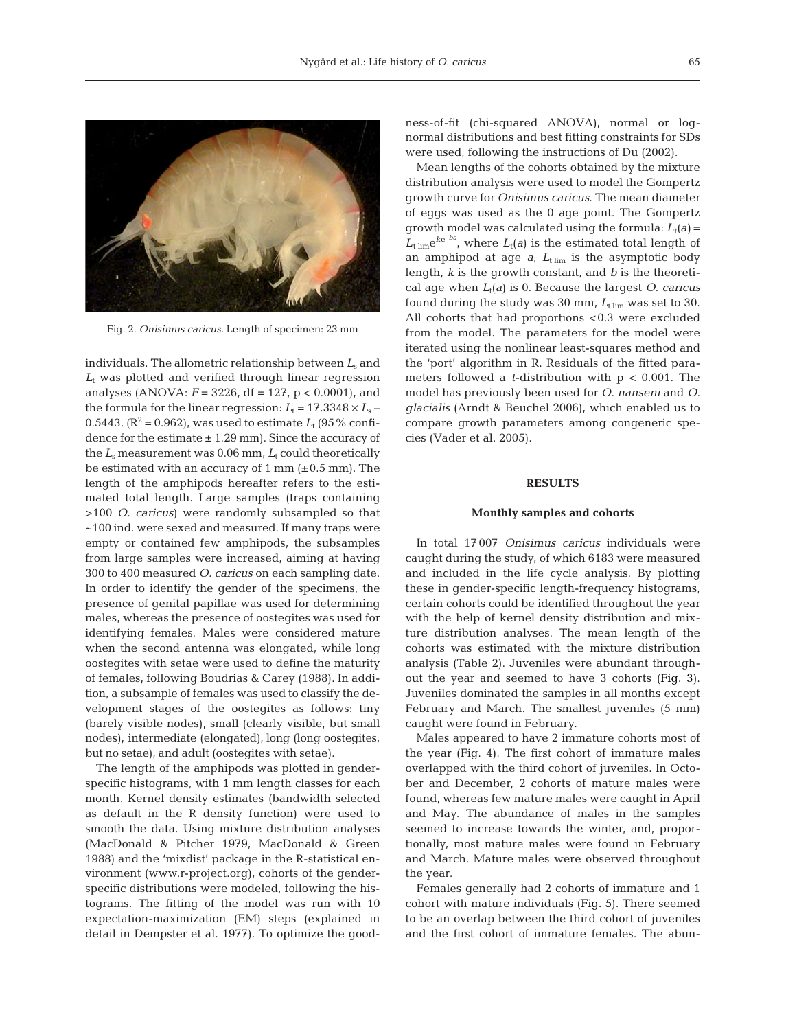

Fig. 2. *Onisimus caricus.* Length of specimen: 23 mm

individuals. The allometric relationship between *L*<sup>s</sup> and  $L_t$  was plotted and verified through linear regression analyses (ANOVA: *F* = 3226, df = 127, p < 0.0001), and the formula for the linear regression:  $L_t = 17.3348 \times L_s$ 0.5443,  $(R^2 = 0.962)$ , was used to estimate  $L_t$  (95% confidence for the estimate  $\pm$  1.29 mm). Since the accuracy of the  $L_s$  measurement was 0.06 mm,  $L_t$  could theoretically be estimated with an accuracy of 1 mm  $(\pm 0.5 \text{ mm})$ . The length of the amphipods hereafter refers to the estimated total length. Large samples (traps containing >100 *O. caricus*) were randomly subsampled so that ~100 ind. were sexed and measured. If many traps were empty or contained few amphipods, the subsamples from large samples were increased, aiming at having 300 to 400 measured *O. caricus* on each sampling date. In order to identify the gender of the specimens, the presence of genital papillae was used for determining males, whereas the presence of oostegites was used for identifying females. Males were considered mature when the second antenna was elongated, while long oostegites with setae were used to define the maturity of females, following Boudrias & Carey (1988). In addition, a subsample of females was used to classify the development stages of the oostegites as follows: tiny (barely visible nodes), small (clearly visible, but small nodes), intermediate (elongated), long (long oostegites, but no setae), and adult (oostegites with setae).

The length of the amphipods was plotted in genderspecific histograms, with 1 mm length classes for each month. Kernel density estimates (bandwidth selected as default in the R density function) were used to smooth the data. Using mixture distribution analyses (MacDonald & Pitcher 1979, MacDonald & Green 1988) and the 'mixdist' package in the R-statistical environment (www.r-project.org), cohorts of the genderspecific distributions were modeled, following the histograms. The fitting of the model was run with 10 expectation-maximization (EM) steps (explained in detail in Dempster et al. 1977). To optimize the goodness-of-fit (chi-squared ANOVA), normal or lognormal distributions and best fitting constraints for SDs were used, following the instructions of Du (2002).

Mean lengths of the cohorts obtained by the mixture distribution analysis were used to model the Gompertz growth curve for *Onisimus caricus*. The mean diameter of eggs was used as the 0 age point. The Gompertz growth model was calculated using the formula:  $L_t(a)$  =  $L_{\text{time}}e^{ke-ba}$ , where  $L_{\text{t}}(a)$  is the estimated total length of an amphipod at age  $a$ ,  $L_{\text{t}}$  lim is the asymptotic body length, *k* is the growth constant, and *b* is the theoretical age when *L*t(*a*) is 0. Because the largest *O. caricus* found during the study was  $30$  mm,  $L_{\text{t lim}}$  was set to  $30$ . All cohorts that had proportions <0.3 were excluded from the model. The parameters for the model were iterated using the nonlinear least-squares method and the 'port' algorithm in R. Residuals of the fitted parameters followed a *t*-distribution with p < 0.001. The model has previously been used for *O. nanseni* and *O. glacialis* (Arndt & Beuchel 2006), which enabled us to compare growth parameters among congeneric species (Vader et al. 2005).

### **RESULTS**

#### **Monthly samples and cohorts**

In total 17 007 *Onisimus caricus* individuals were caught during the study, of which 6183 were measured and included in the life cycle analysis. By plotting these in gender-specific length-frequency histograms, certain cohorts could be identified throughout the year with the help of kernel density distribution and mixture distribution analyses. The mean length of the cohorts was estimated with the mixture distribution analysis (Table 2). Juveniles were abundant throughout the year and seemed to have 3 cohorts (Fig. 3). Juveniles dominated the samples in all months except February and March. The smallest juveniles (5 mm) caught were found in February.

Males appeared to have 2 immature cohorts most of the year (Fig. 4). The first cohort of immature males overlapped with the third cohort of juveniles. In October and December, 2 cohorts of mature males were found, whereas few mature males were caught in April and May. The abundance of males in the samples seemed to increase towards the winter, and, proportionally, most mature males were found in February and March. Mature males were observed throughout the year.

Females generally had 2 cohorts of immature and 1 cohort with mature individuals (Fig. 5). There seemed to be an overlap between the third cohort of juveniles and the first cohort of immature females. The abun-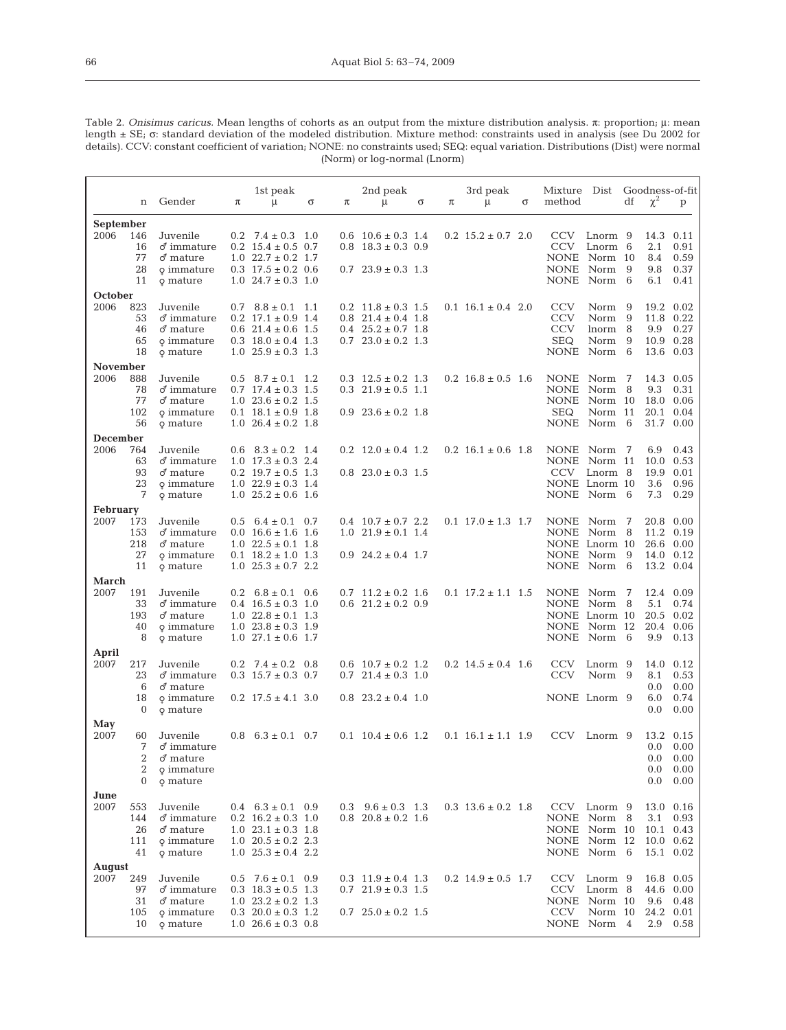| Table 2. Onisimus caricus. Mean lengths of cohorts as an output from the mixture distribution analysis. $\pi$ : proportion, $\mu$ : mean  |  |
|-------------------------------------------------------------------------------------------------------------------------------------------|--|
| length $\pm$ SE; $\sigma$ : standard deviation of the modeled distribution. Mixture method: constraints used in analysis (see Du 2002 for |  |
| details). CCV: constant coefficient of variation; NONE: no constraints used; SEQ: equal variation. Distributions (Dist) were normal       |  |
| (Norm) or log-normal (Lnorm)                                                                                                              |  |

|                         | n                                                | Gender                                                                                | π             | 1st peak<br>μ                                                                                                                                                           | σ   | π | 2nd peak<br>μ                                                                                                          | σ | π | 3rd peak<br>$\mu$                  | σ | Mixture Dist<br>method                                                     |                                       | df  | $\chi^2$                             | Goodness-of-fit<br>p                                            |
|-------------------------|--------------------------------------------------|---------------------------------------------------------------------------------------|---------------|-------------------------------------------------------------------------------------------------------------------------------------------------------------------------|-----|---|------------------------------------------------------------------------------------------------------------------------|---|---|------------------------------------|---|----------------------------------------------------------------------------|---------------------------------------|-----|--------------------------------------|-----------------------------------------------------------------|
| September<br>2006       | 146<br>16<br>77<br>28<br>11                      | Juvenile<br>$\delta$ immature<br>$\sigma$ mature<br>o immature<br>o mature            |               | $0.2$ 7.4 $\pm$ 0.3 1.0<br>$0.2 \quad 15.4 \pm 0.5 \quad 0.7$<br>$1.0 \t22.7 \pm 0.2 \t1.7$<br>$0.3$ 17.5 $\pm$ 0.2 0.6<br>$1.0 \t24.7 \pm 0.3 \t1.0$                   |     |   | $0.6$ $10.6 \pm 0.3$ 1.4<br>$0.8$ 18.3 ± 0.3 0.9<br>$0.7$ $23.9 \pm 0.3$ 1.3                                           |   |   | $0.2$ 15.2 $\pm$ 0.7 2.0           |   | <b>CCV</b><br><b>CCV</b><br>NONE Norm 10<br><b>NONE</b><br>NONE Norm 6     | Lnorm 9<br>Lnorm 6<br>Norm 9          |     | 14.3<br>$2.1\,$<br>8.4<br>9.8<br>6.1 | 0.11<br>0.91<br>0.59<br>0.37<br>0.41                            |
| October<br>2006         | 823<br>53<br>46<br>65<br>18                      | Juvenile<br>$\delta$ immature<br>♂ mature<br>o immature<br>o mature                   |               | $0.7 \quad 8.8 \pm 0.1 \quad 1.1$<br>$0.2 \quad 17.1 \pm 0.9 \quad 1.4$<br>$0.6$ 21.4 $\pm$ 0.6 1.5<br>$0.3 \quad 18.0 \pm 0.4 \quad 1.3$<br>$1.0 \t25.9 \pm 0.3 \t1.3$ |     |   | $0.2 \quad 11.8 \pm 0.3 \quad 1.5$<br>$0.8$ 21.4 $\pm$ 0.4 1.8<br>$0.4$ $25.2 \pm 0.7$ 1.8<br>$0.7$ $23.0 \pm 0.2$ 1.3 |   |   | $0.1 \t16.1 \pm 0.4 \t2.0$         |   | <b>CCV</b><br><b>CCV</b><br><b>CCV</b><br><b>SEQ</b><br>NONE Norm 6        | Norm 9<br>Norm 9<br>lnorm 8<br>Norm 9 |     | 19.2<br>11.8<br>9.9<br>10.9          | 0.02<br>0.22<br>0.27<br>0.28<br>13.6 0.03                       |
| November<br>2006        | 888<br>78<br>77<br>102<br>56                     | Juvenile<br>$\delta$ immature<br>♂ mature<br>o immature<br>o mature                   | 0.5           | $8.7 \pm 0.1$ 1.2<br>$0.7$ 17.4 $\pm$ 0.3 1.5<br>$1.0$ $23.6 \pm 0.2$ $1.5$<br>$0.1 \quad 18.1 \pm 0.9 \quad 1.8$<br>$1.0 \t26.4 \pm 0.2 \t1.8$                         |     |   | $0.3 \quad 12.5 \pm 0.2 \quad 1.3$<br>$0.3$ $21.9 \pm 0.5$ 1.1<br>$0.9$ $23.6 \pm 0.2$ 1.8                             |   |   | $0.2 \quad 16.8 \pm 0.5 \quad 1.6$ |   | <b>NONE</b><br><b>NONE</b><br><b>NONE</b><br><b>SEQ</b><br>NONE Norm 6     | Norm 7<br>Norm<br>Norm 10<br>Norm 11  | - 8 | 14.3<br>9.3<br>18.0<br>20.1          | 0.05<br>0.31<br>0.06<br>0.04<br>31.7 0.00                       |
| December<br>2006        | 764<br>63<br>93<br>23<br>7                       | Juvenile<br>$\delta$ immature<br>$\sigma$ <sup>nature</sup><br>o immature<br>o mature | 0.6           | $8.3 \pm 0.2$<br>$1.0 \t17.3 \pm 0.3 \t2.4$<br>$0.2 \quad 19.7 \pm 0.5 \quad 1.3$<br>$1.0 \t22.9 \pm 0.3 \t1.4$<br>$1.0 \t25.2 \pm 0.6 \t1.6$                           | 1.4 |   | $0.2 \quad 12.0 \pm 0.4 \quad 1.2$<br>$0.8$ $23.0 \pm 0.3$ 1.5                                                         |   |   | $0.2 \quad 16.1 \pm 0.6 \quad 1.8$ |   | <b>NONE</b><br>NONE Norm 11<br><b>CCV</b><br>NONE Lnorm 10<br>NONE Norm 6  | Norm 7<br>Lnorm 8                     |     | 6.9<br>10.0<br>19.9<br>3.6<br>7.3    | 0.43<br>0.53<br>0.01<br>0.96<br>0.29                            |
| <b>February</b><br>2007 | 173<br>153<br>218<br>27<br>11                    | Juvenile<br>$\sigma$ immature<br>♂ mature<br>o immature<br>o mature                   | $0.5^{\circ}$ | $6.4 \pm 0.1$<br>$0.0$ 16.6 ± 1.6 1.6<br>$1.0 \t22.5 \pm 0.1 \t1.8$<br>$0.1 \quad 18.2 \pm 1.0 \quad 1.3$<br>$1.0 \t25.3 \pm 0.7 \t2.2$                                 | 0.7 |   | $0.4$ 10.7 $\pm$ 0.7 2.2<br>$1.0 \t21.9 \pm 0.1 \t1.4$<br>$0.9$ $24.2 \pm 0.4$ 1.7                                     |   |   | $0.1 \t17.0 \t\pm\t1.3 \t1.7$      |   | <b>NONE</b><br>NONE Norm 8<br>NONE Lnorm 10<br>NONE Norm 9<br>NONE Norm    | Norm 7                                | - 6 | 11.2<br>14.0                         | 20.8 0.00<br>0.19<br>26.6 0.00<br>0.12<br>13.2 0.04             |
| March<br>2007           | 191<br>33<br>193<br>40<br>8                      | Juvenile<br>$\delta$ immature<br>♂ mature<br>o immature<br>o mature                   |               | $0.2 \quad 6.8 \pm 0.1 \quad 0.6$<br>$0.4$ 16.5 ± 0.3 1.0<br>$1.0$ $22.8 \pm 0.1$ $1.3$<br>$1.0$ $23.8 \pm 0.3$ $1.9$<br>$1.0$ 27.1 $\pm$ 0.6 1.7                       |     |   | $0.7 \quad 11.2 \pm 0.2 \quad 1.6$<br>$0.6$ $21.2 \pm 0.2$ $0.9$                                                       |   |   | $0.1 \t17.2 \pm 1.1 \t1.5$         |   | <b>NONE</b><br>NONE Norm 8<br>NONE Lnorm 10<br>NONE Norm 12<br>NONE Norm 6 | Norm 7                                |     | 5.1<br>20.5 0.02<br>20.4<br>9.9      | 12.4 0.09<br>0.74<br>0.06<br>0.13                               |
| April<br>2007           | 217<br>23<br>6<br>18<br>$\mathbf{0}$             | Juvenile<br>$\delta$ immature<br>♂ mature<br>o immature<br>o mature                   | 0.2           | $7.4 \pm 0.2$<br>$0.3 \t15.7 \pm 0.3 \t0.7$<br>$0.2$ 17.5 $\pm$ 4.1 3.0                                                                                                 | 0.8 |   | $0.6$ $10.7 \pm 0.2$ 1.2<br>$0.7$ $21.4 \pm 0.3$ 1.0<br>$0.8$ $23.2 \pm 0.4$ 1.0                                       |   |   | $0.2 \quad 14.5 \pm 0.4 \quad 1.6$ |   | <b>CCV</b><br><b>CCV</b><br>NONE Lnorm 9                                   | Lnorm 9<br>Norm 9                     |     | 14.0<br>8.1<br>0.0<br>6.0<br>$0.0\,$ | 0.12<br>0.53<br>0.00<br>0.74<br>0.00                            |
| May<br>2007             | 60<br>7<br>2<br>$\overline{2}$<br>$\overline{0}$ | Juvenile<br>$\delta$ immature<br>$\sigma$ mature<br>o immature<br>o mature            |               | $0.8 \quad 6.3 \pm 0.1 \quad 0.7$                                                                                                                                       |     |   | $0.1 \quad 10.4 \pm 0.6 \quad 1.2$                                                                                     |   |   | $0.1 \t16.1 \pm 1.1 \t1.9$         |   | <b>CCV</b>                                                                 | Lnorm 9                               |     | $0.0\,$<br>$0.0\,$                   | 13.2 0.15<br>$0.0\quad 0.00$<br>$0.0\quad 0.00$<br>0.00<br>0.00 |
| June<br>2007            | 553<br>144<br>26<br>111<br>41                    | Juvenile<br>$\delta$ immature<br>♂ mature<br>o immature<br>o mature                   |               | $0.4 \quad 6.3 \pm 0.1 \quad 0.9$<br>$0.2 \quad 16.2 \pm 0.3 \quad 1.0$<br>$1.0$ $23.1 \pm 0.3$ $1.8$<br>$1.0$ $20.5 \pm 0.2$ 2.3<br>$1.0\ 25.3 \pm 0.4\ 2.2$           |     |   | $0.3 \quad 9.6 \pm 0.3 \quad 1.3$<br>$0.8$ $20.8 \pm 0.2$ 1.6                                                          |   |   | $0.3$ 13.6 $\pm$ 0.2 1.8           |   | NONE Norm 8<br>NONE Norm 10<br>NONE Norm 12<br>NONE Norm 6                 | CCV Lnorm 9                           |     | 3.1                                  | 13.0 0.16<br>0.93<br>10.1 0.43<br>10.0 0.62<br>15.1 0.02        |
| August<br>2007          | 249<br>97<br>31<br>105<br>10                     | Juvenile<br>$\delta$ immature<br>$\sigma$ mature<br>o immature<br>o mature            |               | $0.5$ 7.6 ± 0.1 0.9<br>$0.3$ 18.3 $\pm$ 0.5 1.3<br>$1.0$ $23.2 \pm 0.2$ $1.3$<br>$0.3 \ 20.0 \pm 0.3 \ 1.2$<br>$1.0$ $26.6 \pm 0.3$ 0.8                                 |     |   | $0.3 \quad 11.9 \pm 0.4 \quad 1.3$<br>$0.7$ $21.9 \pm 0.3$ 1.5<br>$0.7 \quad 25.0 \pm 0.2 \quad 1.5$                   |   |   | $0.2 \quad 14.9 \pm 0.5 \quad 1.7$ |   | CCV<br>NONE Norm 10<br>CCV<br>NONE Norm 4                                  | Lnorm 9<br>CCV Lnorm 8<br>Norm 10     |     | 9.6<br>24.2<br>2.9                   | 16.8 0.05<br>44.6 0.00<br>0.48<br>0.01<br>0.58                  |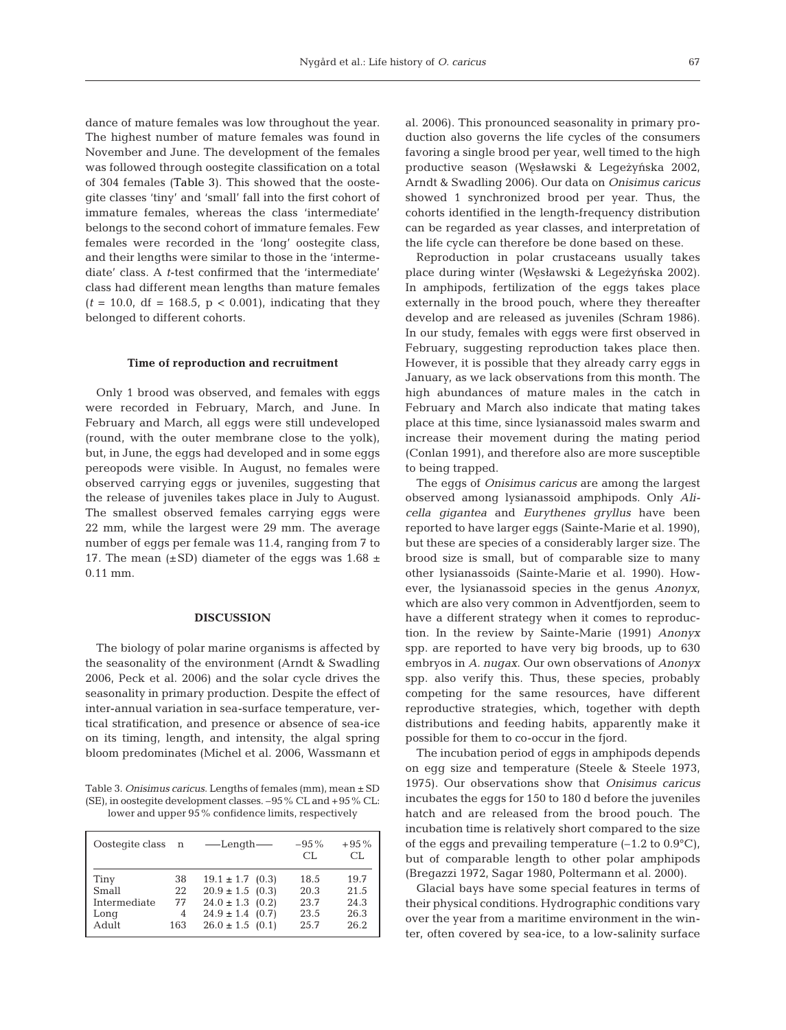dance of mature females was low throughout the year. The highest number of mature females was found in November and June. The development of the females was followed through oostegite classification on a total of 304 females (Table 3). This showed that the oostegite classes 'tiny' and 'small' fall into the first cohort of immature females, whereas the class 'intermediate' belongs to the second cohort of immature females. Few females were recorded in the 'long' oostegite class, and their lengths were similar to those in the 'intermediate' class. A *t*-test confirmed that the 'intermediate' class had different mean lengths than mature females  $(t = 10.0, df = 168.5, p < 0.001)$ , indicating that they belonged to different cohorts.

#### **Time of reproduction and recruitment**

Only 1 brood was observed, and females with eggs were recorded in February, March, and June. In February and March, all eggs were still undeveloped (round, with the outer membrane close to the yolk), but, in June, the eggs had developed and in some eggs pereopods were visible. In August, no females were observed carrying eggs or juveniles, suggesting that the release of juveniles takes place in July to August. The smallest observed females carrying eggs were 22 mm, while the largest were 29 mm. The average number of eggs per female was 11.4, ranging from 7 to 17. The mean  $(\pm SD)$  diameter of the eggs was 1.68  $\pm$ 0.11 mm.

#### **DISCUSSION**

The biology of polar marine organisms is affected by the seasonality of the environment (Arndt & Swadling 2006, Peck et al. 2006) and the solar cycle drives the seasonality in primary production. Despite the effect of inter-annual variation in sea-surface temperature, vertical stratification, and presence or absence of sea-ice on its timing, length, and intensity, the algal spring bloom predominates (Michel et al. 2006, Wassmann et

Table 3. *Onisimus caricus*. Lengths of females (mm), mean ± SD (SE), in oostegite development classes. –95% CL and +95% CL: lower and upper 95% confidence limits, respectively

| Oostegite class<br>$-95\%$<br>—Length—<br>n<br>CL                                                                                                                                              |      |    |                      |      |                                      |
|------------------------------------------------------------------------------------------------------------------------------------------------------------------------------------------------|------|----|----------------------|------|--------------------------------------|
|                                                                                                                                                                                                |      |    |                      |      | $+95%$<br>CL.                        |
| $20.9 \pm 1.5$ (0.3)<br>Small<br>20.3<br>22<br>$24.0 \pm 1.3$ (0.2)<br>23.7<br>Intermediate<br>77<br>$24.9 \pm 1.4$ (0.7)<br>23.5<br>4<br>Long<br>Adult<br>$26.0 \pm 1.5$ (0.1)<br>25.7<br>163 | Tiny | 38 | $19.1 \pm 1.7$ (0.3) | 18.5 | 19.7<br>21.5<br>24.3<br>26.3<br>26.2 |

al. 2006). This pronounced seasonality in primary production also governs the life cycles of the consumers favoring a single brood per year, well timed to the high productive season (Węsławski & Legeżyńska 2002, Arndt & Swadling 2006). Our data on *Onisimus caricus* showed 1 synchronized brood per year. Thus, the cohorts identified in the length-frequency distribution can be regarded as year classes, and interpretation of the life cycle can therefore be done based on these.

Reproduction in polar crustaceans usually takes place during winter (Węsławski & Legeżyńska 2002). In amphipods, fertilization of the eggs takes place externally in the brood pouch, where they thereafter develop and are released as juveniles (Schram 1986). In our study, females with eggs were first observed in February, suggesting reproduction takes place then. However, it is possible that they already carry eggs in January, as we lack observations from this month. The high abundances of mature males in the catch in February and March also indicate that mating takes place at this time, since lysianassoid males swarm and increase their movement during the mating period (Conlan 1991), and therefore also are more susceptible to being trapped.

The eggs of *Onisimus caricus* are among the largest observed among lysianassoid amphipods. Only *Alicella gigantea* and *Eurythenes gryllus* have been reported to have larger eggs (Sainte-Marie et al. 1990), but these are species of a considerably larger size. The brood size is small, but of comparable size to many other lysianassoids (Sainte-Marie et al. 1990). However, the lysianassoid species in the genus *Anonyx*, which are also very common in Adventfjorden, seem to have a different strategy when it comes to reproduction. In the review by Sainte-Marie (1991) *Anonyx* spp. are reported to have very big broods, up to 630 embryos in *A. nugax*. Our own observations of *Anonyx* spp. also verify this. Thus, these species, probably competing for the same resources, have different reproductive strategies, which, together with depth distributions and feeding habits, apparently make it possible for them to co-occur in the fjord.

The incubation period of eggs in amphipods depends on egg size and temperature (Steele & Steele 1973, 1975). Our observations show that *Onisimus caricus* incubates the eggs for 150 to 180 d before the juveniles hatch and are released from the brood pouch. The incubation time is relatively short compared to the size of the eggs and prevailing temperature  $(-1.2 \text{ to } 0.9^{\circ} \text{C})$ , but of comparable length to other polar amphipods (Bregazzi 1972, Sagar 1980, Poltermann et al. 2000).

Glacial bays have some special features in terms of their physical conditions. Hydrographic conditions vary over the year from a maritime environment in the winter, often covered by sea-ice, to a low-salinity surface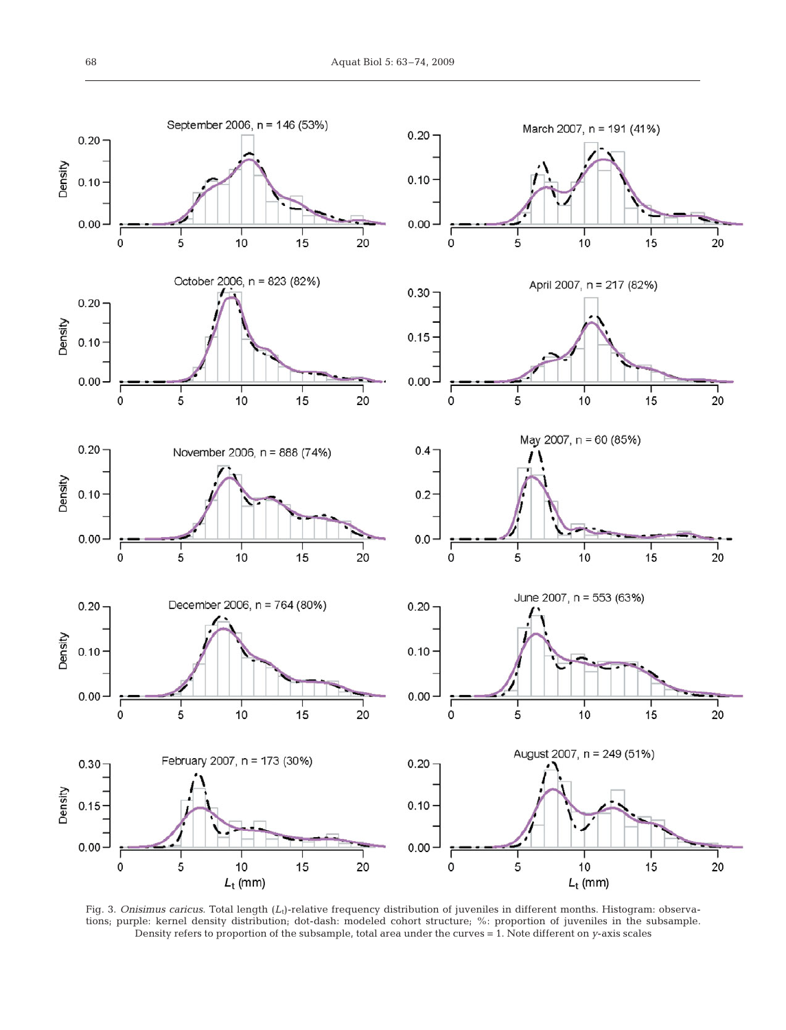

Fig. 3. *Onisimus caricus*. Total length (L<sub>t</sub>)-relative frequency distribution of juveniles in different months. Histogram: observations; purple: kernel density distribution; dot-dash: modeled cohort structure; %: proportion of juveniles in the subsample. Density refers to proportion of the subsample, total area under the curves = 1. Note different on *y*-axis scales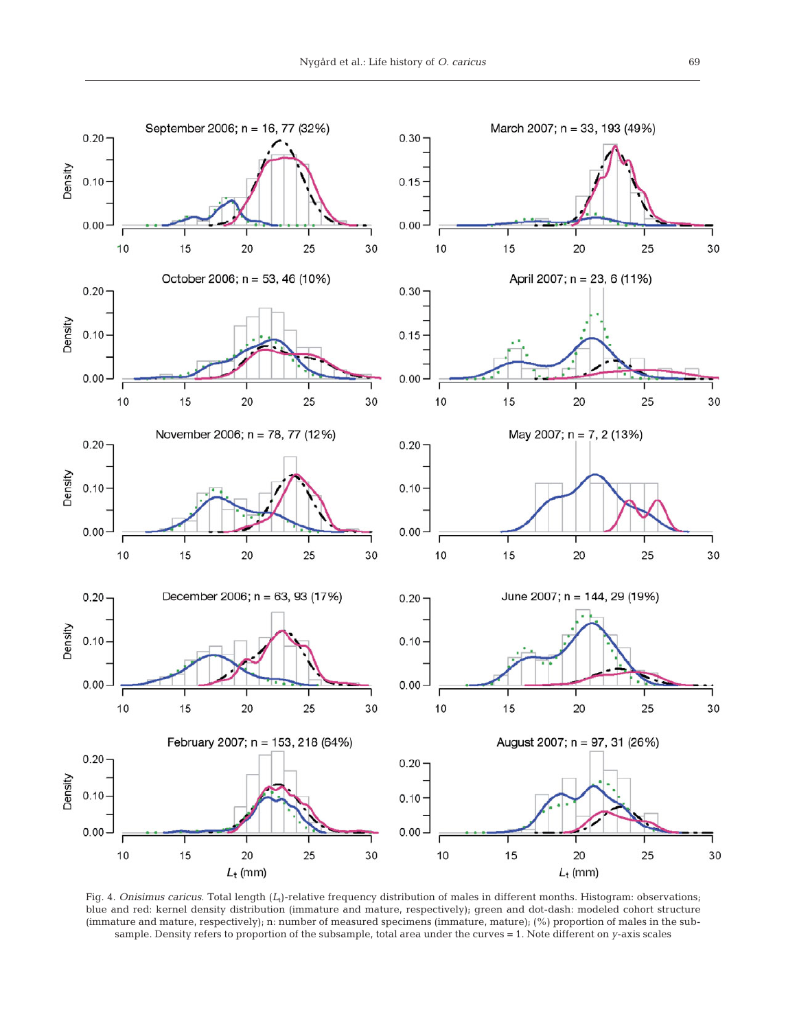

Fig. 4. *Onisimus caricus*. Total length (*L*<sub>t</sub>)-relative frequency distribution of males in different months. Histogram: observations; blue and red: kernel density distribution (immature and mature, respectively); green and dot-dash: modeled cohort structure (immature and mature, respectively); n: number of measured specimens (immature, mature); (%) proportion of males in the subsample. Density refers to proportion of the subsample, total area under the curves = 1. Note different on *y*-axis scales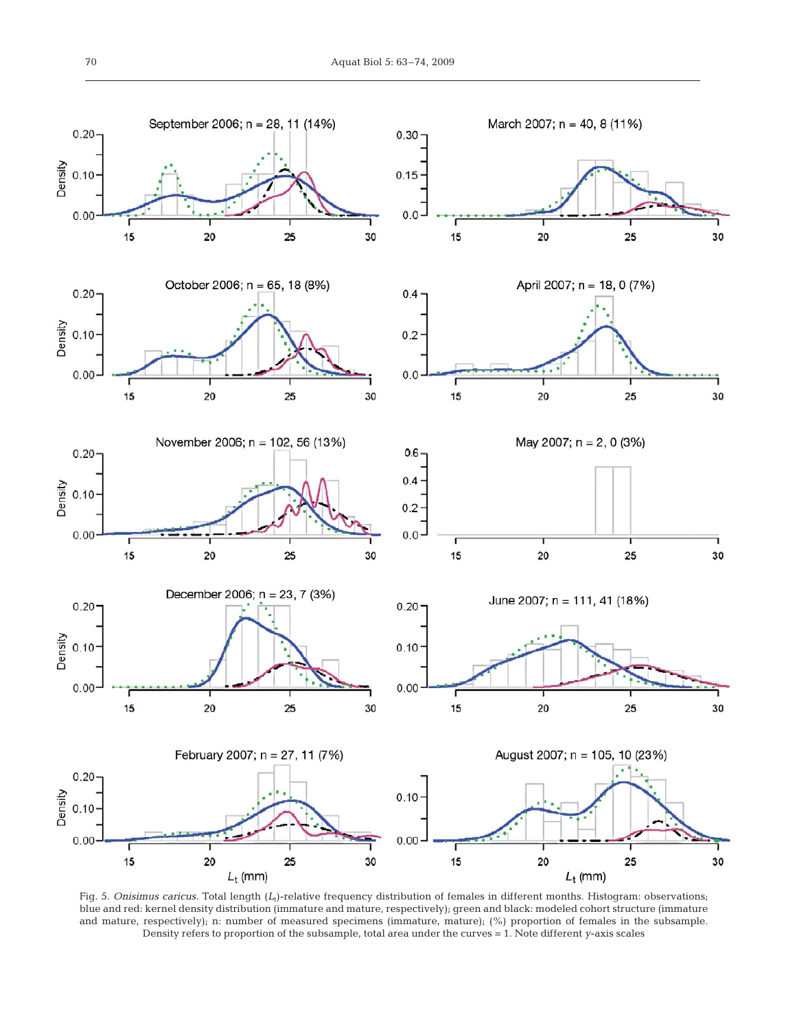

Fig. 5. *Onisimus caricus*. Total length (*L*<sub>t</sub>)-relative frequency distribution of females in different months. Histogram: observations; blue and red: kernel density distribution (immature and mature, respectively); green and black: modeled cohort structure (immature and mature, respectively); n: number of measured specimens (immature, mature); (%) proportion of females in the subsample. Density refers to proportion of the subsample, total area under the curves = 1. Note different *y*-axis scales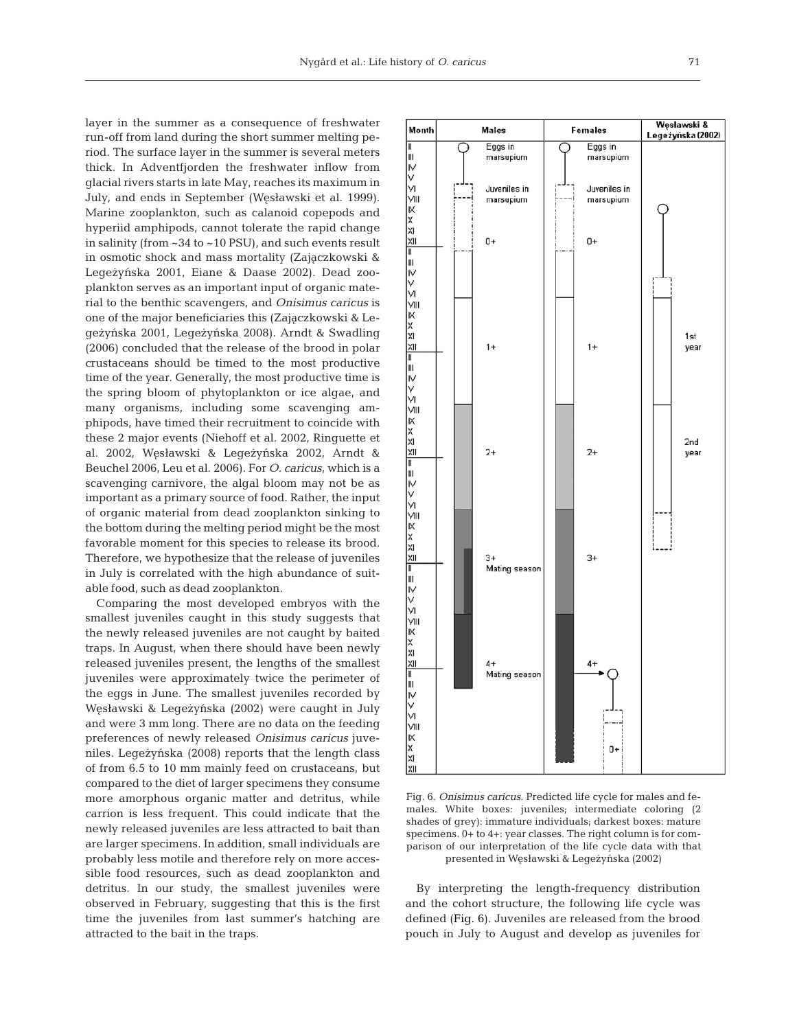layer in the summer as a consequence of freshwater run-off from land during the short summer melting period. The surface layer in the summer is several meters thick. In Adventfjorden the freshwater inflow from glacial rivers starts in late May, reaches its maximum in July, and ends in September (Wesławski et al. 1999). Marine zooplankton, such as calanoid copepods and hyperiid amphipods, cannot tolerate the rapid change in salinity (from ~34 to ~10 PSU), and such events result in osmotic shock and mass mortality (Zajączkowski & Legeżyńska 2001, Eiane & Daase 2002). Dead zooplankton serves as an important input of organic material to the benthic scavengers, and *Onisimus caricus* is one of the major beneficiaries this (Zajączkowski & Legeżyńska 2001, Legeżyńska 2008). Arndt & Swadling (2006) concluded that the release of the brood in polar crustaceans should be timed to the most productive time of the year. Generally, the most productive time is the spring bloom of phytoplankton or ice algae, and many organisms, including some scavenging amphipods, have timed their recruitment to coincide with these 2 major events (Niehoff et al. 2002, Ringuette et al. 2002, Węsławski & Legeżyńska 2002, Arndt & Beuchel 2006, Leu et al. 2006). For *O. caricus*, which is a scavenging carnivore, the algal bloom may not be as important as a primary source of food. Rather, the input of organic material from dead zooplankton sinking to the bottom during the melting period might be the most favorable moment for this species to release its brood. Therefore, we hypothesize that the release of juveniles in July is correlated with the high abundance of suitable food, such as dead zooplankton.

Comparing the most developed embryos with the smallest juveniles caught in this study suggests that the newly released juveniles are not caught by baited traps. In August, when there should have been newly released juveniles present, the lengths of the smallest juveniles were approximately twice the perimeter of the eggs in June. The smallest juveniles recorded by Węsławski & Legeżyńska (2002) were caught in July and were 3 mm long. There are no data on the feeding preferences of newly released *Onisimus caricus* juveniles. Legeżyńska (2008) reports that the length class of from 6.5 to 10 mm mainly feed on crustaceans, but compared to the diet of larger specimens they consume more amorphous organic matter and detritus, while carrion is less frequent. This could indicate that the newly released juveniles are less attracted to bait than are larger specimens. In addition, small individuals are probably less motile and therefore rely on more accessible food resources, such as dead zooplankton and detritus. In our study, the smallest juveniles were observed in February, suggesting that this is the first time the juveniles from last summer's hatching are attracted to the bait in the traps.



Fig. 6. *Onisimus caricus*. Predicted life cycle for males and females. White boxes: juveniles; intermediate coloring (2 shades of grey): immature individuals; darkest boxes: mature specimens. 0+ to 4+: year classes. The right column is for comparison of our interpretation of the life cycle data with that presented in Węsławski & Legeżyńska (2002)

By interpreting the length-frequency distribution and the cohort structure, the following life cycle was defined (Fig. 6). Juveniles are released from the brood pouch in July to August and develop as juveniles for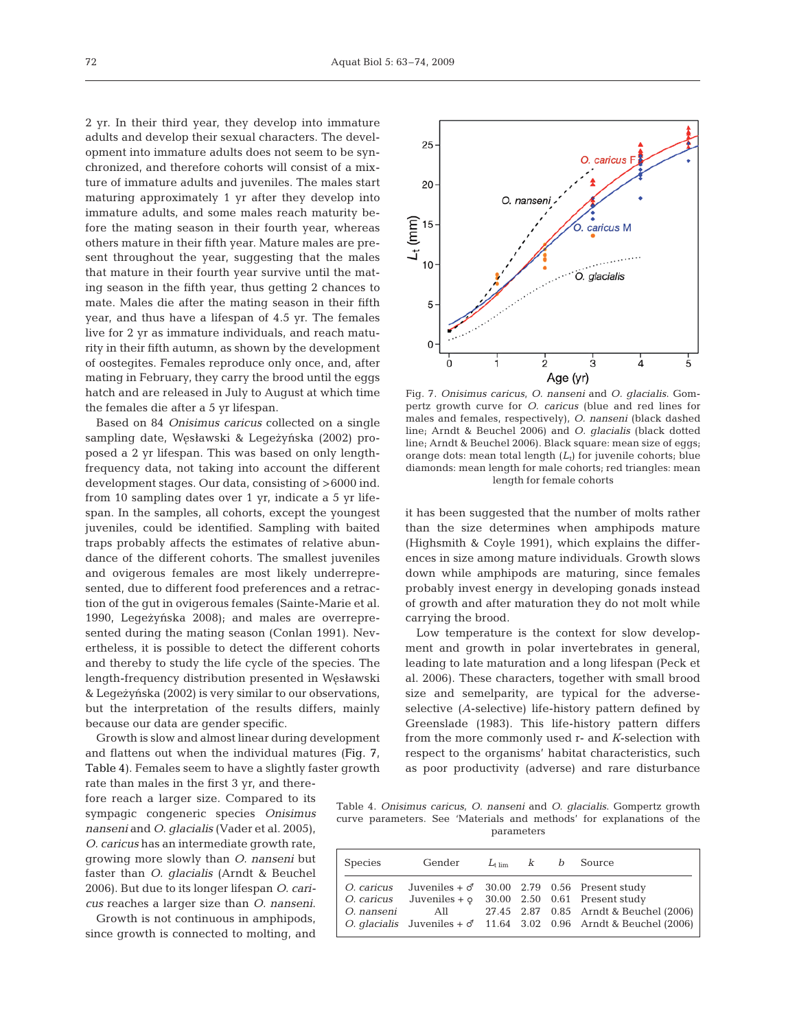2 yr. In their third year, they develop into immature adults and develop their sexual characters. The development into immature adults does not seem to be synchronized, and therefore cohorts will consist of a mixture of immature adults and juveniles. The males start maturing approximately 1 yr after they develop into immature adults, and some males reach maturity before the mating season in their fourth year, whereas others mature in their fifth year. Mature males are present throughout the year, suggesting that the males that mature in their fourth year survive until the mating season in the fifth year, thus getting 2 chances to mate. Males die after the mating season in their fifth year, and thus have a lifespan of 4.5 yr. The females live for 2 yr as immature individuals, and reach maturity in their fifth autumn, as shown by the development of oostegites. Females reproduce only once, and, after mating in February, they carry the brood until the eggs hatch and are released in July to August at which time the females die after a 5 yr lifespan.

Based on 84 *Onisimus caricus* collected on a single sampling date, Węsławski & Legeżyńska (2002) proposed a 2 yr lifespan. This was based on only lengthfrequency data, not taking into account the different development stages. Our data, consisting of >6000 ind. from 10 sampling dates over 1 yr, indicate a 5 yr lifespan. In the samples, all cohorts, except the youngest juveniles, could be identified. Sampling with baited traps probably affects the estimates of relative abundance of the different cohorts. The smallest juveniles and ovigerous females are most likely underrepresented, due to different food preferences and a retraction of the gut in ovigerous females (Sainte-Marie et al. 1990, Legeżyńska 2008); and males are overrepresented during the mating season (Conlan 1991). Nevertheless, it is possible to detect the different cohorts and thereby to study the life cycle of the species. The length-frequency distribution presented in Węsławski & Legeżyńska (2002) is very similar to our observations, but the interpretation of the results differs, mainly because our data are gender specific.

Growth is slow and almost linear during development and flattens out when the individual matures (Fig. 7, Table 4). Females seem to have a slightly faster growth rate than males in the first 3 yr, and there-

fore reach a larger size. Compared to its sympagic congeneric species *Onisimus nanseni* and *O. glacialis* (Vader et al. 2005), *O. caricus* has an intermediate growth rate, growing more slowly than *O. nanseni* but faster than *O. glacialis* (Arndt & Beuchel 2006). But due to its longer lifespan *O. caricus* reaches a larger size than *O. nanseni*.

Growth is not continuous in amphipods, since growth is connected to molting, and



Fig. 7. *Onisimus caricus*, *O. nanseni* and *O. glacialis*. Gompertz growth curve for *O. caricus* (blue and red lines for males and females, respectively), *O. nanseni* (black dashed line; Arndt & Beuchel 2006) and *O. glacialis* (black dotted line; Arndt & Beuchel 2006). Black square: mean size of eggs; orange dots: mean total length (*L*t) for juvenile cohorts; blue diamonds: mean length for male cohorts; red triangles: mean length for female cohorts

it has been suggested that the number of molts rather than the size determines when amphipods mature (Highsmith & Coyle 1991), which explains the differences in size among mature individuals. Growth slows down while amphipods are maturing, since females probably invest energy in developing gonads instead of growth and after maturation they do not molt while carrying the brood.

Low temperature is the context for slow development and growth in polar invertebrates in general, leading to late maturation and a long lifespan (Peck et al. 2006). These characters, together with small brood size and semelparity, are typical for the adverseselective (*A*-selective) life-history pattern defined by Greenslade (1983). This life-history pattern differs from the more commonly used r- and *K*-selection with respect to the organisms' habitat characteristics, such as poor productivity (adverse) and rare disturbance

Table 4. *Onisimus caricus*, *O. nanseni* and *O. glacialis*. Gompertz growth curve parameters. See 'Materials and methods' for explanations of the parameters

| Species    | Gender                                                                                                                                      |  | $L_{\text{time}}$ k b Source                                                                                                 |
|------------|---------------------------------------------------------------------------------------------------------------------------------------------|--|------------------------------------------------------------------------------------------------------------------------------|
| O. nanseni | <i>O. caricus</i> Juveniles + $\sigma$ 30.00 2.79 0.56 Present study<br><i>O. caricus</i> Juveniles + $\circ$ 30.00 2.50 0.61 Present study |  | All 27.45 2.87 0.85 Arndt & Beuchel (2006)<br><i>O. glacialis</i> Juveniles $+\sigma$ 11.64 3.02 0.96 Arndt & Beuchel (2006) |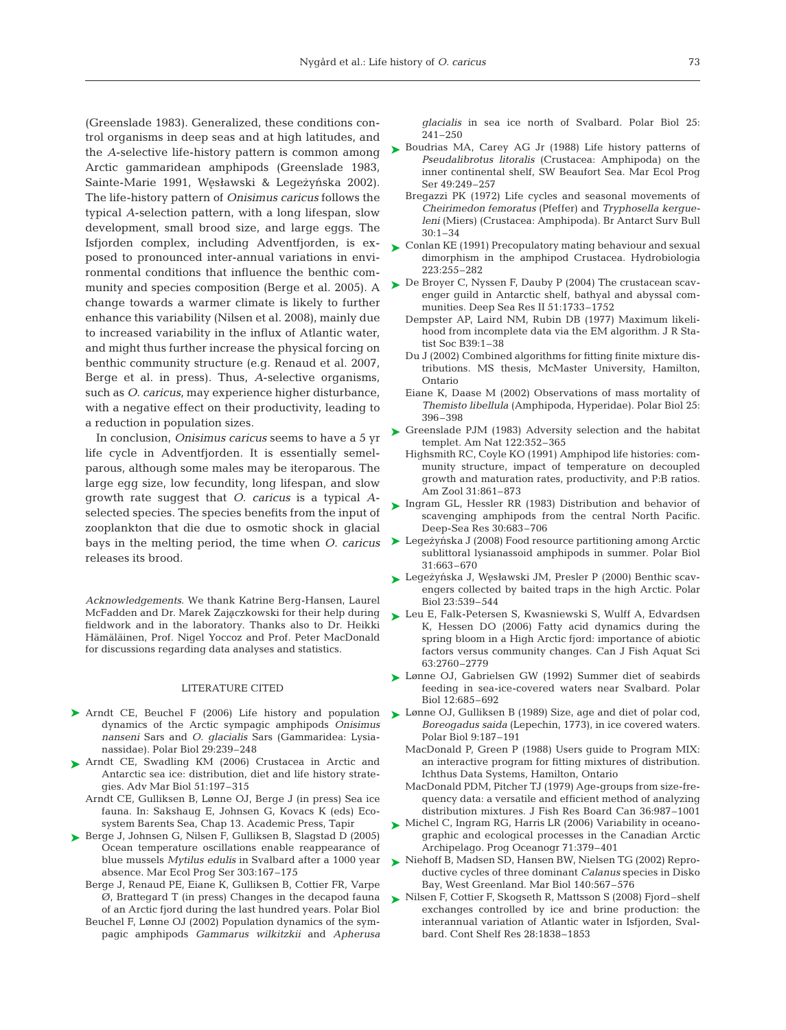(Greenslade 1983). Generalized, these conditions control organisms in deep seas and at high latitudes, and the *A*-selective life-history pattern is common among Arctic gammaridean amphipods (Greenslade 1983, Sainte-Marie 1991, Węsławski & Legeżyńska 2002). The life-history pattern of *Onisimus caricus* follows the typical *A*-selection pattern, with a long lifespan, slow development, small brood size, and large eggs. The Isfjorden complex, including Adventfjorden, is exposed to pronounced inter-annual variations in environmental conditions that influence the benthic community and species composition (Berge et al. 2005). A change towards a warmer climate is likely to further enhance this variability (Nilsen et al. 2008), mainly due to increased variability in the influx of Atlantic water, and might thus further increase the physical forcing on benthic community structure (e.g. Renaud et al. 2007, Berge et al. in press). Thus, *A*-selective organisms, such as *O. caricus*, may experience higher disturbance, with a negative effect on their productivity, leading to a reduction in population sizes.

In conclusion, *Onisimus caricus* seems to have a 5 yr life cycle in Adventfjorden. It is essentially semelparous, although some males may be iteroparous. The large egg size, low fecundity, long lifespan, and slow growth rate suggest that *O. caricus* is a typical *A*selected species. The species benefits from the input of zooplankton that die due to osmotic shock in glacial bays in the melting period, the time when *O. caricus* Legezynska J (2008) Food resource partitioning among Arctic releases its brood.

*Acknowledgements.* We thank Katrine Berg-Hansen, Laurel McFadden and Dr. Marek Zajączkowski for their help during fieldwork and in the laboratory. Thanks also to Dr. Heikki Hämäläinen, Prof. Nigel Yoccoz and Prof. Peter MacDonald for discussions regarding data analyses and statistics.

## LITERATURE CITED

- ▶ Arndt CE, Beuchel F (2006) Life history and population dynamics of the Arctic sympagic amphipods *Onisimus nanseni* Sars and *O. glacialis* Sars (Gammaridea: Lysianassidae). Polar Biol 29:239–248
- ▶ Arndt CE, Swadling KM (2006) Crustacea in Arctic and Antarctic sea ice: distribution, diet and life history strategies. Adv Mar Biol 51:197–315
	- Arndt CE, Gulliksen B, Lønne OJ, Berge J (in press) Sea ice fauna. In: Sakshaug E, Johnsen G, Kovacs K (eds) Ecosystem Barents Sea, Chap 13. Academic Press, Tapir
- Berge J, Johnsen G, Nilsen F, Gulliksen B, Slagstad D (2005) ➤ Ocean temperature oscillations enable reappearance of blue mussels *Mytilus edulis* in Svalbard after a 1000 year absence. Mar Ecol Prog Ser 303:167–175
	- Berge J, Renaud PE, Eiane K, Gulliksen B, Cottier FR, Varpe Ø, Brattegard T (in press) Changes in the decapod fauna of an Arctic fjord during the last hundred years. Polar Biol
	- Beuchel F, Lønne OJ (2002) Population dynamics of the sympagic amphipods *Gammarus wilkitzkii* and *Apherusa*

*glacialis* in sea ice north of Svalbard. Polar Biol 25: 241–250

- ► Boudrias MA, Carey AG Jr (1988) Life history patterns of *Pseudalibrotus litoralis* (Crustacea: Amphipoda) on the inner continental shelf, SW Beaufort Sea. Mar Ecol Prog Ser 49:249–257
	- Bregazzi PK (1972) Life cycles and seasonal movements of *Cheirimedon femoratus* (Pfeffer) and *Tryphosella kergueleni* (Miers) (Crustacea: Amphipoda). Br Antarct Surv Bull 30:1–34
- $\blacktriangleright$  Conlan KE (1991) Precopulatory mating behaviour and sexual dimorphism in the amphipod Crustacea. Hydrobiologia 223:255–282
- ► De Broyer C, Nyssen F, Dauby P (2004) The crustacean scavenger guild in Antarctic shelf, bathyal and abyssal communities. Deep Sea Res II 51:1733–1752
	- Dempster AP, Laird NM, Rubin DB (1977) Maximum likelihood from incomplete data via the EM algorithm. J R Statist Soc B39:1–38
	- Du J (2002) Combined algorithms for fitting finite mixture distributions. MS thesis, McMaster University, Hamilton, Ontario
	- Eiane K, Daase M (2002) Observations of mass mortality of *Themisto libellula* (Amphipoda, Hyperidae). Polar Biol 25: 396–398
- ► Greenslade PJM (1983) Adversity selection and the habitat templet. Am Nat 122:352–365
	- Highsmith RC, Coyle KO (1991) Amphipod life histories: community structure, impact of temperature on decoupled growth and maturation rates, productivity, and P:B ratios. Am Zool 31:861–873
- ▶ Ingram GL, Hessler RR (1983) Distribution and behavior of scavenging amphipods from the central North Pacific. Deep-Sea Res 30:683–706
- sublittoral lysianassoid amphipods in summer. Polar Biol 31:663–670
- ► Legeżyńska J, Węsławski JM, Presler P (2000) Benthic scavengers collected by baited traps in the high Arctic. Polar Biol 23:539–544
- ► Leu E, Falk-Petersen S, Kwasniewski S, Wulff A, Edvardsen K, Hessen DO (2006) Fatty acid dynamics during the spring bloom in a High Arctic fjord: importance of abiotic factors versus community changes. Can J Fish Aquat Sci 63:2760–2779
- ► Lønne OJ, Gabrielsen GW (1992) Summer diet of seabirds feeding in sea-ice-covered waters near Svalbard. Polar Biol 12:685–692
- ► Lønne OJ, Gulliksen B (1989) Size, age and diet of polar cod, *Boreogadus saida* (Lepechin, 1773), in ice covered waters. Polar Biol 9:187–191
	- MacDonald P, Green P (1988) Users guide to Program MIX: an interactive program for fitting mixtures of distribution. Ichthus Data Systems, Hamilton, Ontario
	- MacDonald PDM, Pitcher TJ (1979) Age-groups from size-frequency data: a versatile and efficient method of analyzing distribution mixtures. J Fish Res Board Can 36:987–1001
- ► Michel C, Ingram RG, Harris LR (2006) Variability in oceanographic and ecological processes in the Canadian Arctic Archipelago. Prog Oceanogr 71:379–401
- ▶ Niehoff B, Madsen SD, Hansen BW, Nielsen TG (2002) Reproductive cycles of three dominant *Calanus* species in Disko Bay, West Greenland. Mar Biol 140:567–576
- ► Nilsen F, Cottier F, Skogseth R, Mattsson S (2008) Fjord–shelf exchanges controlled by ice and brine production: the interannual variation of Atlantic water in Isfjorden, Svalbard. Cont Shelf Res 28:1838–1853